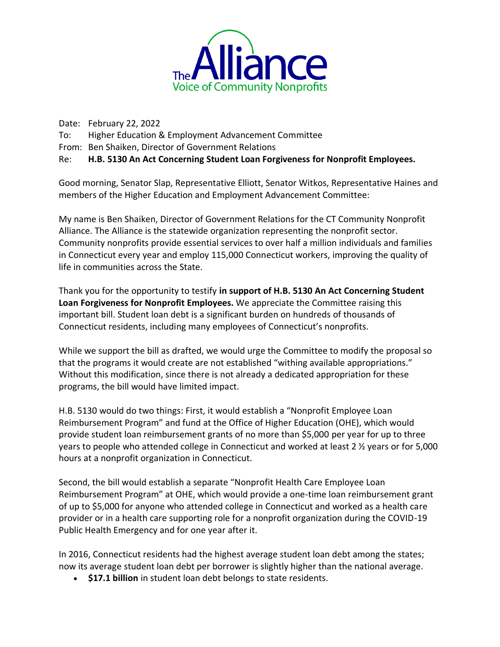

Date: February 22, 2022 To: Higher Education & Employment Advancement Committee From: Ben Shaiken, Director of Government Relations Re: **H.B. 5130 An Act Concerning Student Loan Forgiveness for Nonprofit Employees.**

Good morning, Senator Slap, Representative Elliott, Senator Witkos, Representative Haines and members of the Higher Education and Employment Advancement Committee:

My name is Ben Shaiken, Director of Government Relations for the CT Community Nonprofit Alliance. The Alliance is the statewide organization representing the nonprofit sector. Community nonprofits provide essential services to over half a million individuals and families in Connecticut every year and employ 115,000 Connecticut workers, improving the quality of life in communities across the State.

Thank you for the opportunity to testify **in support of H.B. 5130 An Act Concerning Student Loan Forgiveness for Nonprofit Employees.** We appreciate the Committee raising this important bill. Student loan debt is a significant burden on hundreds of thousands of Connecticut residents, including many employees of Connecticut's nonprofits.

While we support the bill as drafted, we would urge the Committee to modify the proposal so that the programs it would create are not established "withing available appropriations." Without this modification, since there is not already a dedicated appropriation for these programs, the bill would have limited impact.

H.B. 5130 would do two things: First, it would establish a "Nonprofit Employee Loan Reimbursement Program" and fund at the Office of Higher Education (OHE), which would provide student loan reimbursement grants of no more than \$5,000 per year for up to three years to people who attended college in Connecticut and worked at least 2  $\frac{1}{2}$  years or for 5,000 hours at a nonprofit organization in Connecticut.

Second, the bill would establish a separate "Nonprofit Health Care Employee Loan Reimbursement Program" at OHE, which would provide a one-time loan reimbursement grant of up to \$5,000 for anyone who attended college in Connecticut and worked as a health care provider or in a health care supporting role for a nonprofit organization during the COVID-19 Public Health Emergency and for one year after it.

In 2016, Connecticut residents had the highest average student loan debt among the states; now its average student loan debt per borrower is slightly higher than the national average.

• **\$17.1 billion** in student loan debt belongs to state residents.